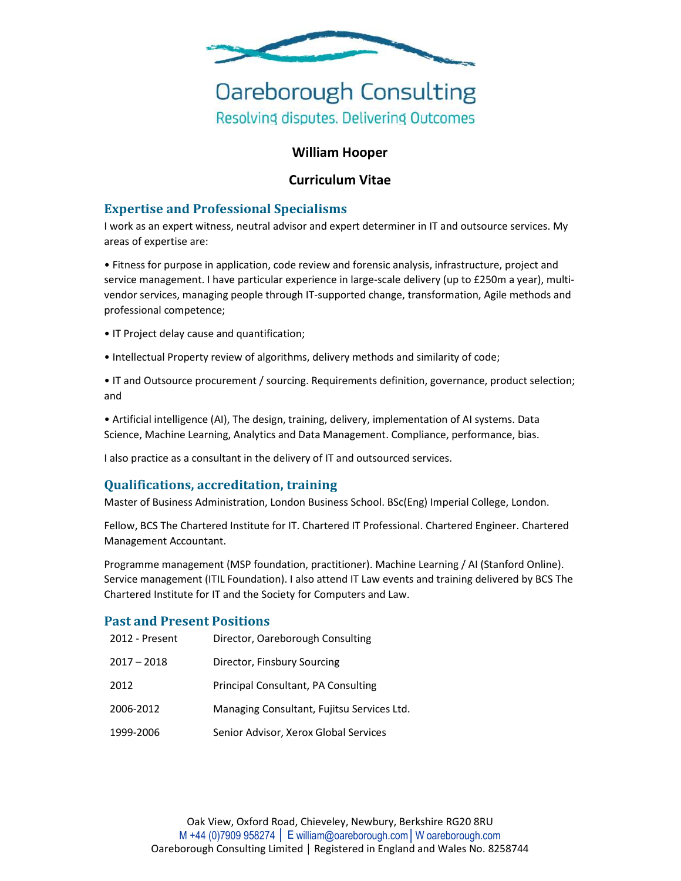

# **Oareborough Consulting** Resolving disputes. Delivering Outcomes

## **William Hooper**

## **Curriculum Vitae**

## **Expertise and Professional Specialisms**

I work as an expert witness, neutral advisor and expert determiner in IT and outsource services. My areas of expertise are:

• Fitness for purpose in application, code review and forensic analysis, infrastructure, project and service management. I have particular experience in large-scale delivery (up to £250m a year), multivendor services, managing people through IT-supported change, transformation, Agile methods and professional competence;

- IT Project delay cause and quantification;
- Intellectual Property review of algorithms, delivery methods and similarity of code;
- IT and Outsource procurement / sourcing. Requirements definition, governance, product selection; and

• Artificial intelligence (AI), The design, training, delivery, implementation of AI systems. Data Science, Machine Learning, Analytics and Data Management. Compliance, performance, bias.

I also practice as a consultant in the delivery of IT and outsourced services.

#### **Qualifications, accreditation, training**

Master of Business Administration, London Business School. BSc(Eng) Imperial College, London.

Fellow, BCS The Chartered Institute for IT. Chartered IT Professional. Chartered Engineer. Chartered Management Accountant.

Programme management (MSP foundation, practitioner). Machine Learning / AI (Stanford Online). Service management (ITIL Foundation). I also attend IT Law events and training delivered by BCS The Chartered Institute for IT and the Society for Computers and Law.

#### **Past and Present Positions**

| 2012 - Present | Director, Oareborough Consulting           |
|----------------|--------------------------------------------|
| $2017 - 2018$  | Director, Finsbury Sourcing                |
| 2012           | Principal Consultant, PA Consulting        |
| 2006-2012      | Managing Consultant, Fujitsu Services Ltd. |
| 1999-2006      | Senior Advisor, Xerox Global Services      |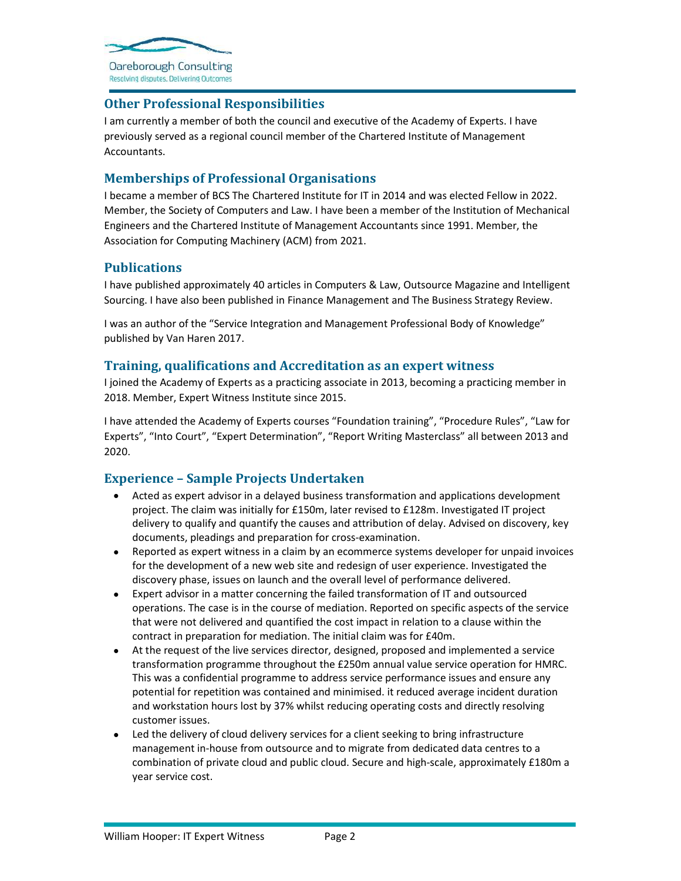

# **Other Professional Responsibilities**

I am currently a member of both the council and executive of the Academy of Experts. I have previously served as a regional council member of the Chartered Institute of Management Accountants.

## **Memberships of Professional Organisations**

I became a member of BCS The Chartered Institute for IT in 2014 and was elected Fellow in 2022. Member, the Society of Computers and Law. I have been a member of the Institution of Mechanical Engineers and the Chartered Institute of Management Accountants since 1991. Member, the Association for Computing Machinery (ACM) from 2021.

# **Publications**

I have published approximately 40 articles in Computers & Law, Outsource Magazine and Intelligent Sourcing. I have also been published in Finance Management and The Business Strategy Review.

I was an author of the "Service Integration and Management Professional Body of Knowledge" published by Van Haren 2017.

#### **Training, qualifications and Accreditation as an expert witness**

I joined the Academy of Experts as a practicing associate in 2013, becoming a practicing member in 2018. Member, Expert Witness Institute since 2015.

I have attended the Academy of Experts courses "Foundation training", "Procedure Rules", "Law for Experts", "Into Court", "Expert Determination", "Report Writing Masterclass" all between 2013 and 2020.

#### **Experience – Sample Projects Undertaken**

- Acted as expert advisor in a delayed business transformation and applications development project. The claim was initially for £150m, later revised to £128m. Investigated IT project delivery to qualify and quantify the causes and attribution of delay. Advised on discovery, key documents, pleadings and preparation for cross-examination.
- Reported as expert witness in a claim by an ecommerce systems developer for unpaid invoices for the development of a new web site and redesign of user experience. Investigated the discovery phase, issues on launch and the overall level of performance delivered.
- Expert advisor in a matter concerning the failed transformation of IT and outsourced operations. The case is in the course of mediation. Reported on specific aspects of the service that were not delivered and quantified the cost impact in relation to a clause within the contract in preparation for mediation. The initial claim was for £40m.
- At the request of the live services director, designed, proposed and implemented a service transformation programme throughout the £250m annual value service operation for HMRC. This was a confidential programme to address service performance issues and ensure any potential for repetition was contained and minimised. it reduced average incident duration and workstation hours lost by 37% whilst reducing operating costs and directly resolving customer issues.
- Led the delivery of cloud delivery services for a client seeking to bring infrastructure management in-house from outsource and to migrate from dedicated data centres to a combination of private cloud and public cloud. Secure and high-scale, approximately £180m a year service cost.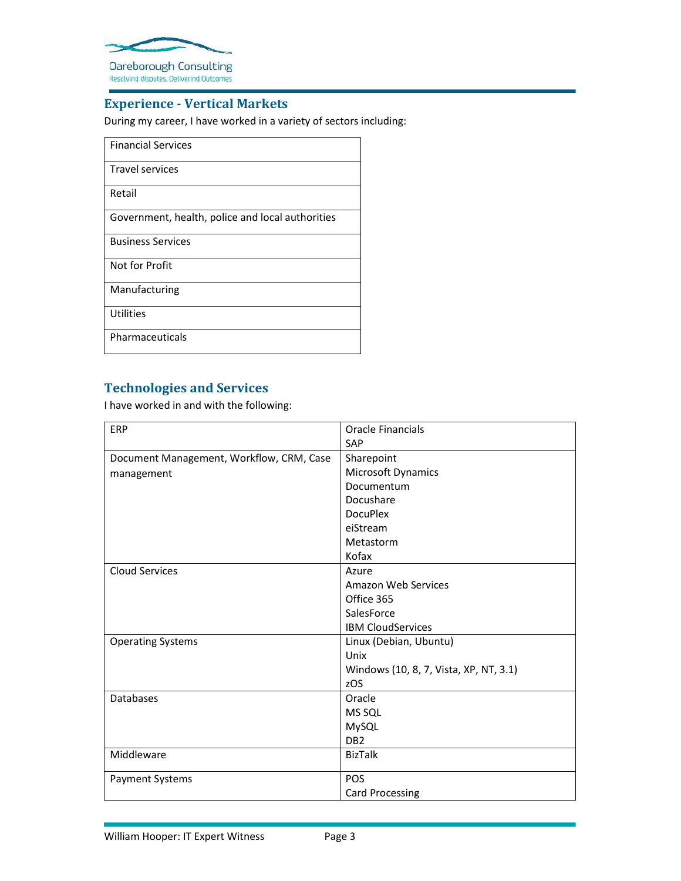

### **Experience - Vertical Markets**

During my career, I have worked in a variety of sectors including:

- Financial Services
- Travel services

Retail

Government, health, police and local authorities

Business Services

Not for Profit

Manufacturing

**Utilities** 

Pharmaceuticals

# **Technologies and Services**

I have worked in and with the following:

| ERP                                      | Oracle Financials                      |
|------------------------------------------|----------------------------------------|
|                                          | SAP                                    |
| Document Management, Workflow, CRM, Case | Sharepoint                             |
| management                               | Microsoft Dynamics                     |
|                                          | Documentum                             |
|                                          | Docushare                              |
|                                          | <b>DocuPlex</b>                        |
|                                          | eiStream                               |
|                                          | Metastorm                              |
|                                          | Kofax                                  |
| <b>Cloud Services</b>                    | Azure                                  |
|                                          | Amazon Web Services                    |
|                                          | Office 365                             |
|                                          | SalesForce                             |
|                                          | <b>IBM CloudServices</b>               |
| <b>Operating Systems</b>                 | Linux (Debian, Ubuntu)                 |
|                                          | Unix                                   |
|                                          | Windows (10, 8, 7, Vista, XP, NT, 3.1) |
|                                          | zOS                                    |
| <b>Databases</b>                         | Oracle                                 |
|                                          | MS SQL                                 |
|                                          | MySQL                                  |
|                                          | DB <sub>2</sub>                        |
| Middleware                               | <b>BizTalk</b>                         |
| <b>Payment Systems</b>                   | <b>POS</b>                             |
|                                          | <b>Card Processing</b>                 |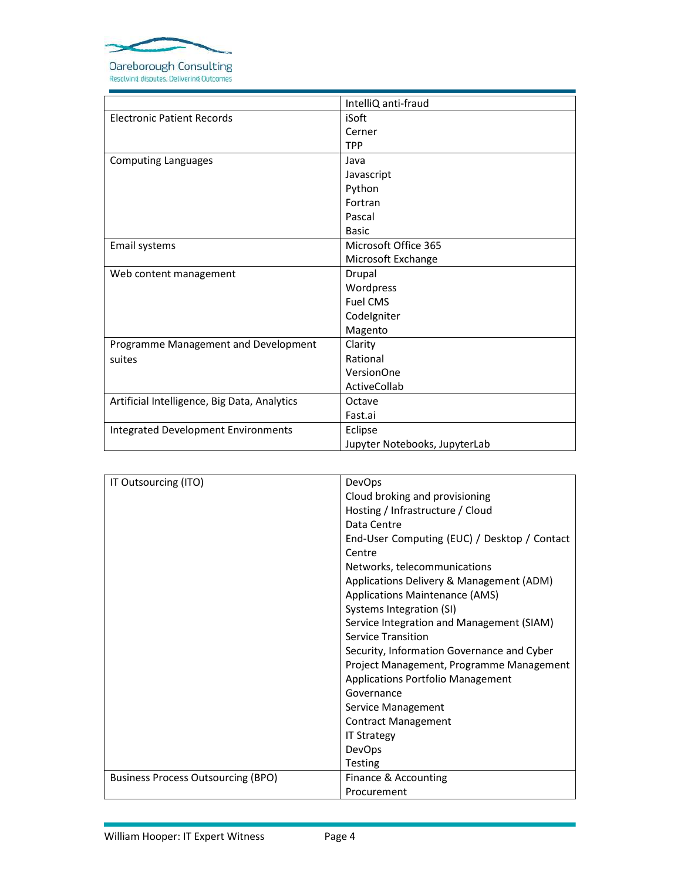

Resolving disputes. Delivering Outcomes

|                                              | IntelliQ anti-fraud           |
|----------------------------------------------|-------------------------------|
| <b>Electronic Patient Records</b>            | iSoft                         |
|                                              | Cerner                        |
|                                              | <b>TPP</b>                    |
| <b>Computing Languages</b>                   | Java                          |
|                                              | Javascript                    |
|                                              | Python                        |
|                                              | Fortran                       |
|                                              | Pascal                        |
|                                              | <b>Basic</b>                  |
| Email systems                                | Microsoft Office 365          |
|                                              | Microsoft Exchange            |
| Web content management                       | Drupal                        |
|                                              | Wordpress                     |
|                                              | <b>Fuel CMS</b>               |
|                                              | Codelgniter                   |
|                                              | Magento                       |
| Programme Management and Development         | Clarity                       |
| suites                                       | Rational                      |
|                                              | VersionOne                    |
|                                              | ActiveCollab                  |
| Artificial Intelligence, Big Data, Analytics | Octave                        |
|                                              | Fast.ai                       |
| <b>Integrated Development Environments</b>   | Eclipse                       |
|                                              | Jupyter Notebooks, JupyterLab |

| IT Outsourcing (ITO)                      | <b>DevOps</b>                                |
|-------------------------------------------|----------------------------------------------|
|                                           | Cloud broking and provisioning               |
|                                           | Hosting / Infrastructure / Cloud             |
|                                           | Data Centre                                  |
|                                           | End-User Computing (EUC) / Desktop / Contact |
|                                           | Centre                                       |
|                                           | Networks, telecommunications                 |
|                                           | Applications Delivery & Management (ADM)     |
|                                           | <b>Applications Maintenance (AMS)</b>        |
|                                           | Systems Integration (SI)                     |
|                                           | Service Integration and Management (SIAM)    |
|                                           | <b>Service Transition</b>                    |
|                                           | Security, Information Governance and Cyber   |
|                                           | Project Management, Programme Management     |
|                                           | Applications Portfolio Management            |
|                                           | Governance                                   |
|                                           | Service Management                           |
|                                           | Contract Management                          |
|                                           | <b>IT Strategy</b>                           |
|                                           | DevOps                                       |
|                                           | <b>Testing</b>                               |
| <b>Business Process Outsourcing (BPO)</b> | Finance & Accounting                         |
|                                           | Procurement                                  |